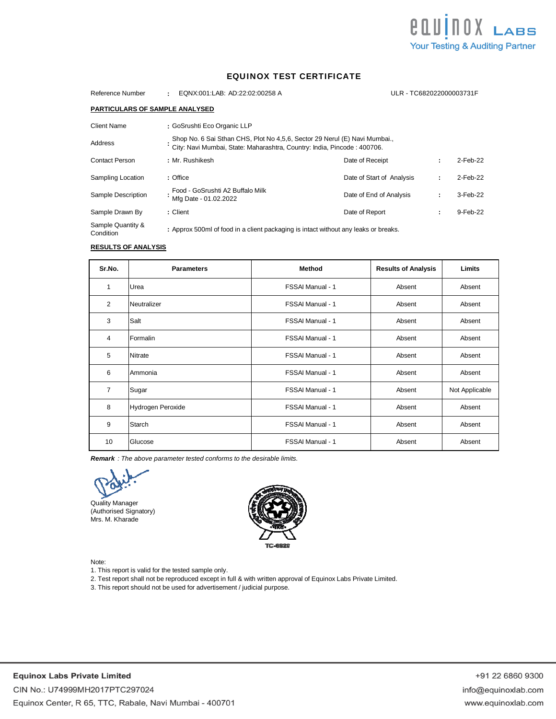

## EQUINOX TEST CERTIFICATE

| Reference Number                      | EQNX:001:LAB: AD:22:02:00258 A                                                                                                                        |                           | ULR - TC682022000003731F |   |          |
|---------------------------------------|-------------------------------------------------------------------------------------------------------------------------------------------------------|---------------------------|--------------------------|---|----------|
| <b>PARTICULARS OF SAMPLE ANALYSED</b> |                                                                                                                                                       |                           |                          |   |          |
| Client Name                           | : GoSrushti Eco Organic LLP                                                                                                                           |                           |                          |   |          |
| Address                               | Shop No. 6 Sai Sthan CHS, Plot No 4,5,6, Sector 29 Nerul (E) Navi Mumbai.,<br>City: Navi Mumbai, State: Maharashtra, Country: India, Pincode: 400706. |                           |                          |   |          |
| <b>Contact Person</b>                 | :Mr. Rushikesh                                                                                                                                        | Date of Receipt           |                          |   | 2-Feb-22 |
| Sampling Location                     | : Office                                                                                                                                              | Date of Start of Analysis |                          | ÷ | 2-Feb-22 |
| Sample Description                    | Food - GoSrushti A2 Buffalo Milk<br>Mfg Date - 01.02.2022                                                                                             | Date of End of Analysis   |                          | ÷ | 3-Feb-22 |
| Sample Drawn By                       | : Client                                                                                                                                              | Date of Report            |                          | ٠ | 9-Feb-22 |
| Sample Quantity &<br>Condition        | : Approx 500ml of food in a client packaging is intact without any leaks or breaks.                                                                   |                           |                          |   |          |

# **RESULTS OF ANALYSIS**

| Sr.No.         | <b>Parameters</b> | <b>Method</b>           | <b>Results of Analysis</b> | Limits         |
|----------------|-------------------|-------------------------|----------------------------|----------------|
| $\mathbf{1}$   | Urea              | FSSAI Manual - 1        | Absent                     | Absent         |
| 2              | Neutralizer       | FSSAI Manual - 1        | Absent                     | Absent         |
| 3              | Salt              | <b>FSSAI Manual - 1</b> | Absent                     | Absent         |
| $\overline{4}$ | Formalin          | FSSAI Manual - 1        | Absent                     | Absent         |
| 5              | <b>Nitrate</b>    | FSSAI Manual - 1        | Absent                     | Absent         |
| 6              | Ammonia           | FSSAI Manual - 1        | Absent                     | Absent         |
| $\overline{7}$ | Sugar             | <b>FSSAI Manual - 1</b> | Absent                     | Not Applicable |
| 8              | Hydrogen Peroxide | FSSAI Manual - 1        | Absent                     | Absent         |
| 9              | Starch            | FSSAI Manual - 1        | Absent                     | Absent         |
| 10             | Glucose           | FSSAI Manual - 1        | Absent                     | Absent         |

*Remark : The above parameter tested conforms to the desirable limits.*

Quality Manager (Authorised Signatory) Mrs. M. Kharade



Note:

1. This report is valid for the tested sample only.

2. Test report shall not be reproduced except in full & with written approval of Equinox Labs Private Limited.

3. This report should not be used for advertisement / judicial purpose.